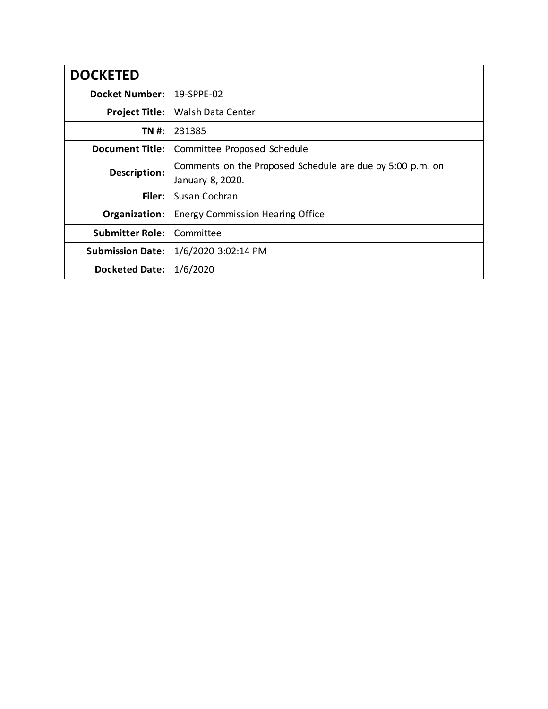| <b>DOCKETED</b>         |                                                           |
|-------------------------|-----------------------------------------------------------|
| <b>Docket Number:</b>   | 19-SPPE-02                                                |
| <b>Project Title:</b>   | <b>Walsh Data Center</b>                                  |
| TN #:                   | 231385                                                    |
| <b>Document Title:</b>  | Committee Proposed Schedule                               |
| Description:            | Comments on the Proposed Schedule are due by 5:00 p.m. on |
|                         | January 8, 2020.                                          |
| Filer:                  | Susan Cochran                                             |
| Organization:           | <b>Energy Commission Hearing Office</b>                   |
| <b>Submitter Role:</b>  | Committee                                                 |
| <b>Submission Date:</b> | 1/6/2020 3:02:14 PM                                       |
| <b>Docketed Date:</b>   | 1/6/2020                                                  |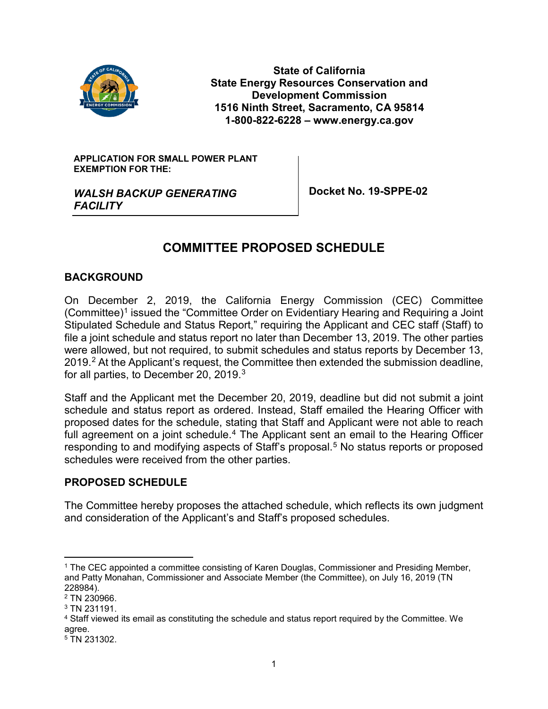

**State of California State Energy Resources Conservation and Development Commission 1516 Ninth Street, Sacramento, CA 95814 1-800-822-6228 – www.energy.ca.gov**

**APPLICATION FOR SMALL POWER PLANT EXEMPTION FOR THE:** 

**Docket No. 19-SPPE-02**

*WALSH BACKUP GENERATING FACILITY*

# **COMMITTEE PROPOSED SCHEDULE**

## **BACKGROUND**

On December 2, 2019, the California Energy Commission (CEC) Committee (Committee)<sup>1</sup> issued the "Committee Order on Evidentiary Hearing and Requiring a Joint Stipulated Schedule and Status Report," requiring the Applicant and CEC staff (Staff) to file a joint schedule and status report no later than December 13, 2019. The other parties were allowed, but not required, to submit schedules and status reports by December 13, [2](#page-1-1)019.<sup>2</sup> At the Applicant's request, the Committee then extended the submission deadline, for all parties, to December 20, 2019. $^3$  $^3$ 

Staff and the Applicant met the December 20, 2019, deadline but did not submit a joint schedule and status report as ordered. Instead, Staff emailed the Hearing Officer with proposed dates for the schedule, stating that Staff and Applicant were not able to reach full agreement on a joint schedule.<sup>[4](#page-1-3)</sup> The Applicant sent an email to the Hearing Officer responding to and modifying aspects of Staff's proposal.[5](#page-1-4) No status reports or proposed schedules were received from the other parties.

## **PROPOSED SCHEDULE**

The Committee hereby proposes the attached schedule, which reflects its own judgment and consideration of the Applicant's and Staff's proposed schedules.

<span id="page-1-0"></span> <sup>1</sup> The CEC appointed a committee consisting of Karen Douglas, Commissioner and Presiding Member, and Patty Monahan, Commissioner and Associate Member (the Committee), on July 16, 2019 (TN 228984).

<span id="page-1-1"></span><sup>2</sup> TN 230966.

<span id="page-1-2"></span><sup>3</sup> TN 231191.

<span id="page-1-3"></span><sup>4</sup> Staff viewed its email as constituting the schedule and status report required by the Committee. We agree.

<span id="page-1-4"></span><sup>&</sup>lt;sup>5</sup> TN 231302.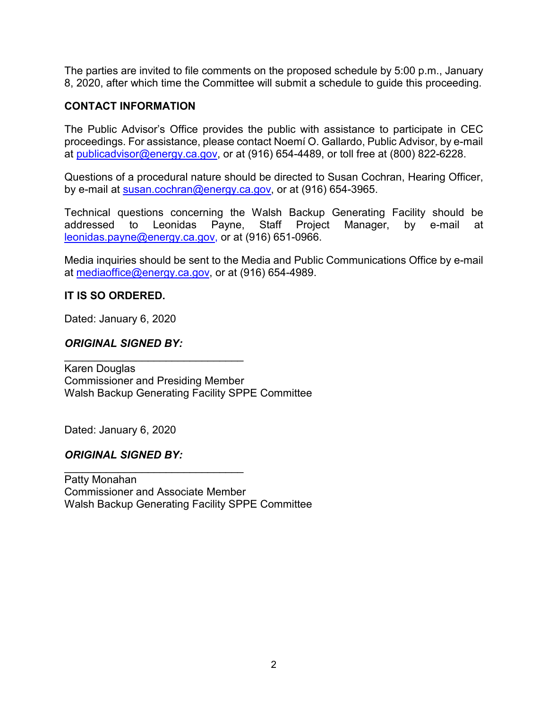The parties are invited to file comments on the proposed schedule by 5:00 p.m., January 8, 2020, after which time the Committee will submit a schedule to guide this proceeding.

#### **CONTACT INFORMATION**

The Public Advisor's Office provides the public with assistance to participate in CEC proceedings. For assistance, please contact Noemí O. Gallardo, Public Advisor, by e-mail at [publicadvisor@energy.ca.gov,](mailto:publicadvisor@energy.ca.gov) or at (916) 654-4489, or toll free at (800) 822-6228.

Questions of a procedural nature should be directed to Susan Cochran, Hearing Officer, by e-mail at [susan.cochran@energy.ca.gov,](mailto:susan.cochran@energy.ca.gov) or at (916) 654-3965.

Technical questions concerning the Walsh Backup Generating Facility should be addressed to Leonidas Payne, Staff Project Manager, by e-mail at [leonidas.payne@energy.ca.gov,](mailto:leonidas.payne@energy.ca.gov) or at (916) 651-0966.

Media inquiries should be sent to the Media and Public Communications Office by e-mail at [mediaoffice@energy.ca.gov,](mailto:mediaoffice@energy.ca.gov) or at (916) 654-4989.

#### **IT IS SO ORDERED.**

Dated: January 6, 2020

### *ORIGINAL SIGNED BY:*

\_\_\_\_\_\_\_\_\_\_\_\_\_\_\_\_\_\_\_\_\_\_\_\_\_\_\_\_\_\_

Karen Douglas Commissioner and Presiding Member Walsh Backup Generating Facility SPPE Committee

Dated: January 6, 2020

#### *ORIGINAL SIGNED BY:*

\_\_\_\_\_\_\_\_\_\_\_\_\_\_\_\_\_\_\_\_\_\_\_\_\_\_\_\_\_\_ Patty Monahan Commissioner and Associate Member Walsh Backup Generating Facility SPPE Committee